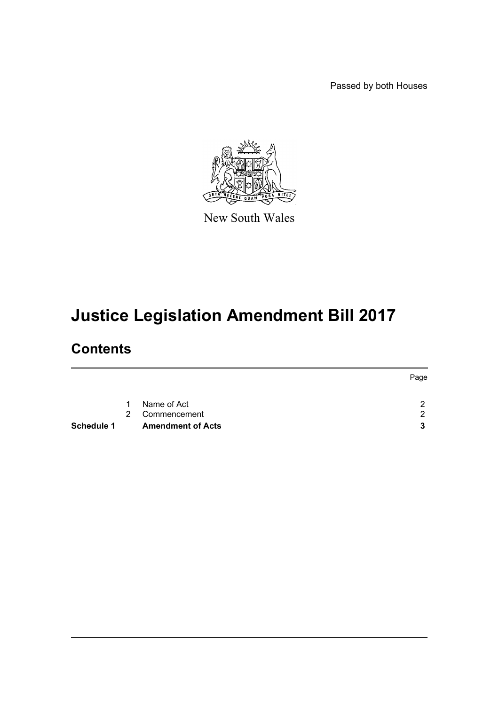Passed by both Houses



New South Wales

# **Justice Legislation Amendment Bill 2017**

# **Contents**

| Schedule 1 |   | <b>Amendment of Acts</b> | 3    |
|------------|---|--------------------------|------|
|            | 2 | Commencement             | 2    |
|            | 1 | Name of Act              | ົ    |
|            |   |                          | Page |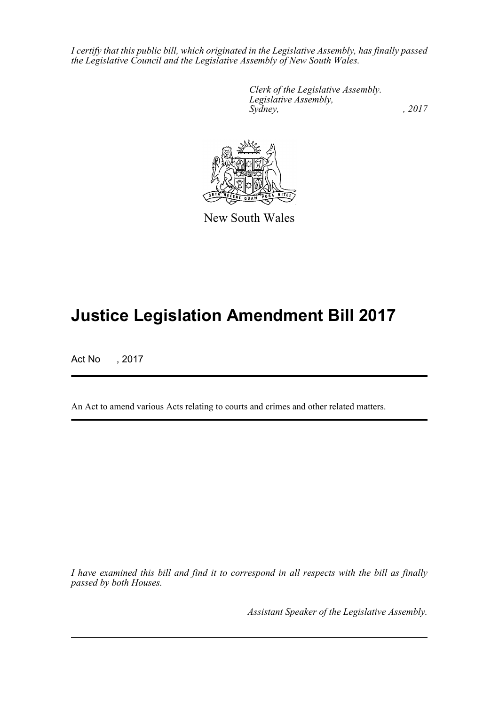*I certify that this public bill, which originated in the Legislative Assembly, has finally passed the Legislative Council and the Legislative Assembly of New South Wales.*

> *Clerk of the Legislative Assembly. Legislative Assembly, Sydney,* , 2017



New South Wales

# **Justice Legislation Amendment Bill 2017**

Act No , 2017

An Act to amend various Acts relating to courts and crimes and other related matters.

*I have examined this bill and find it to correspond in all respects with the bill as finally passed by both Houses.*

*Assistant Speaker of the Legislative Assembly.*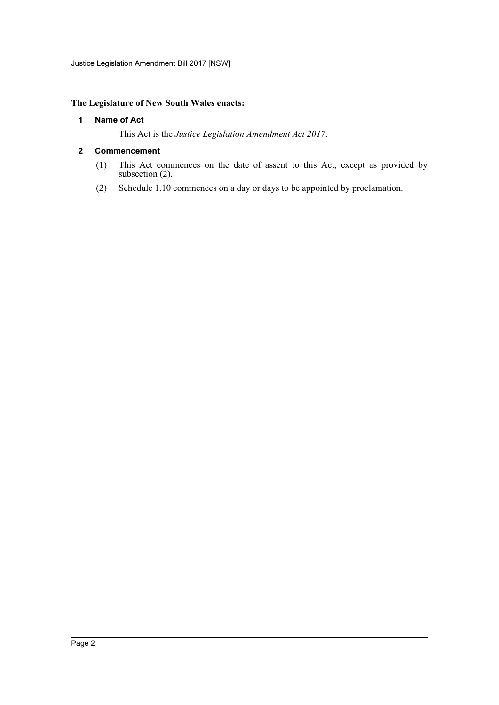## <span id="page-2-0"></span>**The Legislature of New South Wales enacts:**

#### **1 Name of Act**

This Act is the *Justice Legislation Amendment Act 2017*.

#### <span id="page-2-1"></span>**2 Commencement**

- (1) This Act commences on the date of assent to this Act, except as provided by subsection (2).
- (2) Schedule 1.10 commences on a day or days to be appointed by proclamation.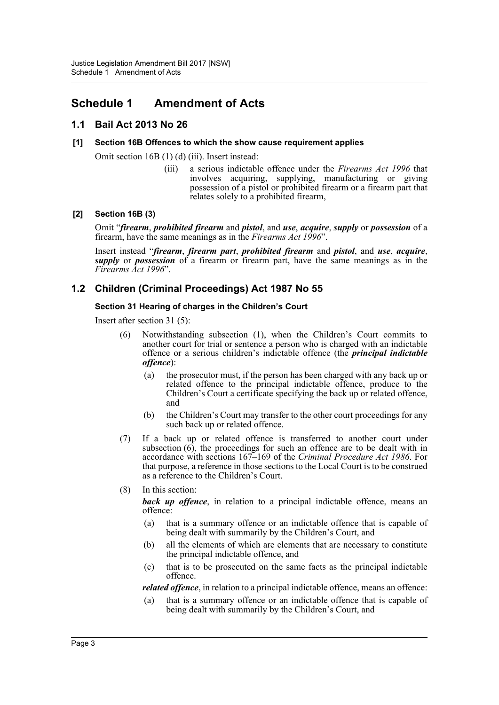## <span id="page-3-0"></span>**Schedule 1 Amendment of Acts**

## **1.1 Bail Act 2013 No 26**

#### **[1] Section 16B Offences to which the show cause requirement applies**

Omit section 16B (1) (d) (iii). Insert instead:

(iii) a serious indictable offence under the *Firearms Act 1996* that involves acquiring, supplying, manufacturing or giving possession of a pistol or prohibited firearm or a firearm part that relates solely to a prohibited firearm,

#### **[2] Section 16B (3)**

Omit "*firearm*, *prohibited firearm* and *pistol*, and *use*, *acquire*, *supply* or *possession* of a firearm, have the same meanings as in the *Firearms Act 1996*".

Insert instead "*firearm*, *firearm part*, *prohibited firearm* and *pistol*, and *use*, *acquire*, *supply* or *possession* of a firearm or firearm part, have the same meanings as in the *Firearms Act 1996*".

## **1.2 Children (Criminal Proceedings) Act 1987 No 55**

#### **Section 31 Hearing of charges in the Children's Court**

Insert after section 31 (5):

- (6) Notwithstanding subsection (1), when the Children's Court commits to another court for trial or sentence a person who is charged with an indictable offence or a serious children's indictable offence (the *principal indictable offence*):
	- (a) the prosecutor must, if the person has been charged with any back up or related offence to the principal indictable offence, produce to the Children's Court a certificate specifying the back up or related offence, and
	- (b) the Children's Court may transfer to the other court proceedings for any such back up or related offence.
- (7) If a back up or related offence is transferred to another court under subsection  $(6)$ , the proceedings for such an offence are to be dealt with in accordance with sections 167–169 of the *Criminal Procedure Act 1986*. For that purpose, a reference in those sections to the Local Court is to be construed as a reference to the Children's Court.
- (8) In this section:

**back up offence**, in relation to a principal indictable offence, means an offence:

- (a) that is a summary offence or an indictable offence that is capable of being dealt with summarily by the Children's Court, and
- (b) all the elements of which are elements that are necessary to constitute the principal indictable offence, and
- (c) that is to be prosecuted on the same facts as the principal indictable offence.

*related offence*, in relation to a principal indictable offence, means an offence:

(a) that is a summary offence or an indictable offence that is capable of being dealt with summarily by the Children's Court, and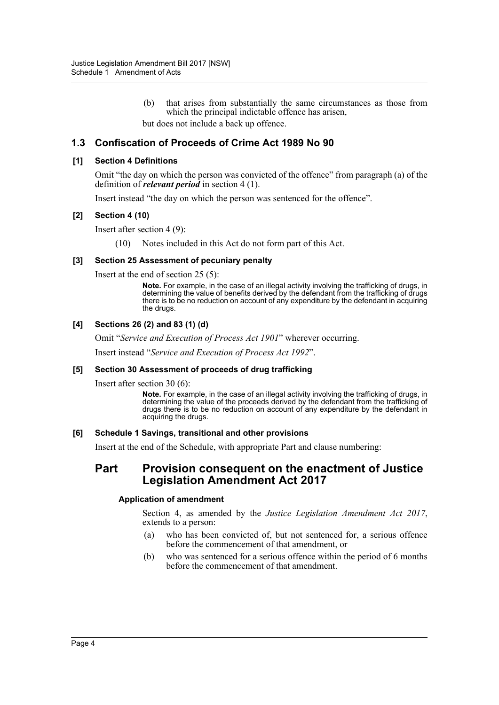(b) that arises from substantially the same circumstances as those from which the principal indictable offence has arisen,

but does not include a back up offence.

## **1.3 Confiscation of Proceeds of Crime Act 1989 No 90**

#### **[1] Section 4 Definitions**

Omit "the day on which the person was convicted of the offence" from paragraph (a) of the definition of *relevant period* in section 4 (1).

Insert instead "the day on which the person was sentenced for the offence".

#### **[2] Section 4 (10)**

Insert after section 4 (9):

(10) Notes included in this Act do not form part of this Act.

#### **[3] Section 25 Assessment of pecuniary penalty**

Insert at the end of section 25 (5):

**Note.** For example, in the case of an illegal activity involving the trafficking of drugs, in determining the value of benefits derived by the defendant from the trafficking of drugs there is to be no reduction on account of any expenditure by the defendant in acquiring the drugs.

#### **[4] Sections 26 (2) and 83 (1) (d)**

Omit "*Service and Execution of Process Act 1901*" wherever occurring.

Insert instead "*Service and Execution of Process Act 1992*".

#### **[5] Section 30 Assessment of proceeds of drug trafficking**

Insert after section 30 (6):

**Note.** For example, in the case of an illegal activity involving the trafficking of drugs, in determining the value of the proceeds derived by the defendant from the trafficking of drugs there is to be no reduction on account of any expenditure by the defendant in acquiring the drugs.

#### **[6] Schedule 1 Savings, transitional and other provisions**

Insert at the end of the Schedule, with appropriate Part and clause numbering:

## **Part Provision consequent on the enactment of Justice Legislation Amendment Act 2017**

#### **Application of amendment**

Section 4, as amended by the *Justice Legislation Amendment Act 2017*, extends to a person:

- (a) who has been convicted of, but not sentenced for, a serious offence before the commencement of that amendment, or
- (b) who was sentenced for a serious offence within the period of 6 months before the commencement of that amendment.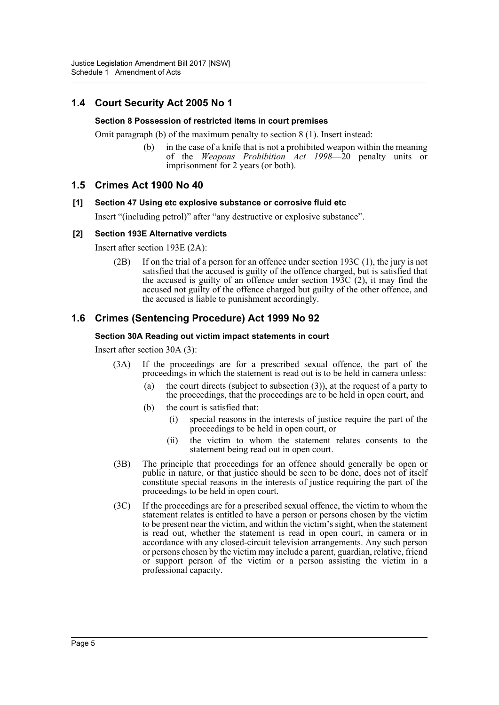## **1.4 Court Security Act 2005 No 1**

#### **Section 8 Possession of restricted items in court premises**

Omit paragraph (b) of the maximum penalty to section 8 (1). Insert instead:

(b) in the case of a knife that is not a prohibited weapon within the meaning of the *Weapons Prohibition Act 1998*—20 penalty units or imprisonment for 2 years (or both).

## **1.5 Crimes Act 1900 No 40**

#### **[1] Section 47 Using etc explosive substance or corrosive fluid etc**

Insert "(including petrol)" after "any destructive or explosive substance".

#### **[2] Section 193E Alternative verdicts**

Insert after section 193E (2A):

(2B) If on the trial of a person for an offence under section 193C (1), the jury is not satisfied that the accused is guilty of the offence charged, but is satisfied that the accused is guilty of an offence under section 193C (2), it may find the accused not guilty of the offence charged but guilty of the other offence, and the accused is liable to punishment accordingly.

## **1.6 Crimes (Sentencing Procedure) Act 1999 No 92**

#### **Section 30A Reading out victim impact statements in court**

Insert after section 30A (3):

- (3A) If the proceedings are for a prescribed sexual offence, the part of the proceedings in which the statement is read out is to be held in camera unless:
	- (a) the court directs (subject to subsection (3)), at the request of a party to the proceedings, that the proceedings are to be held in open court, and
	- (b) the court is satisfied that:
		- (i) special reasons in the interests of justice require the part of the proceedings to be held in open court, or
		- (ii) the victim to whom the statement relates consents to the statement being read out in open court.
- (3B) The principle that proceedings for an offence should generally be open or public in nature, or that justice should be seen to be done, does not of itself constitute special reasons in the interests of justice requiring the part of the proceedings to be held in open court.
- (3C) If the proceedings are for a prescribed sexual offence, the victim to whom the statement relates is entitled to have a person or persons chosen by the victim to be present near the victim, and within the victim's sight, when the statement is read out, whether the statement is read in open court, in camera or in accordance with any closed-circuit television arrangements. Any such person or persons chosen by the victim may include a parent, guardian, relative, friend or support person of the victim or a person assisting the victim in a professional capacity.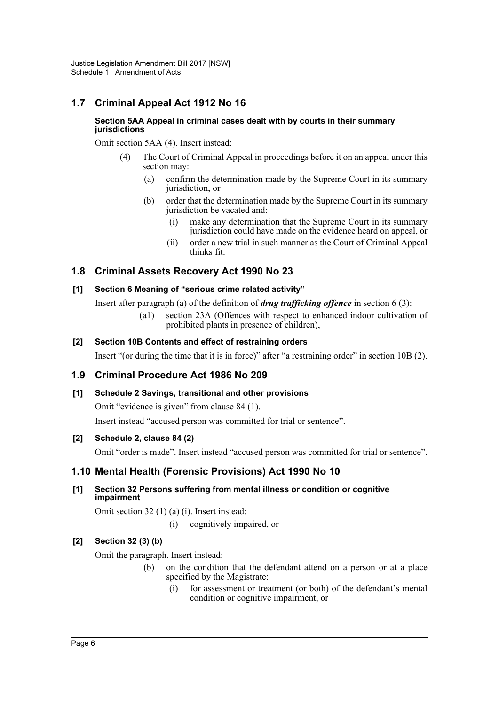## **1.7 Criminal Appeal Act 1912 No 16**

#### **Section 5AA Appeal in criminal cases dealt with by courts in their summary jurisdictions**

Omit section 5AA (4). Insert instead:

- (4) The Court of Criminal Appeal in proceedings before it on an appeal under this section may:
	- (a) confirm the determination made by the Supreme Court in its summary jurisdiction, or
	- (b) order that the determination made by the Supreme Court in its summary jurisdiction be vacated and:
		- (i) make any determination that the Supreme Court in its summary jurisdiction could have made on the evidence heard on appeal, or
		- (ii) order a new trial in such manner as the Court of Criminal Appeal thinks fit.

## **1.8 Criminal Assets Recovery Act 1990 No 23**

## **[1] Section 6 Meaning of "serious crime related activity"**

Insert after paragraph (a) of the definition of *drug trafficking offence* in section 6 (3):

(a1) section 23A (Offences with respect to enhanced indoor cultivation of prohibited plants in presence of children),

## **[2] Section 10B Contents and effect of restraining orders**

Insert "(or during the time that it is in force)" after "a restraining order" in section 10B (2).

## **1.9 Criminal Procedure Act 1986 No 209**

## **[1] Schedule 2 Savings, transitional and other provisions**

Omit "evidence is given" from clause 84 (1).

Insert instead "accused person was committed for trial or sentence".

#### **[2] Schedule 2, clause 84 (2)**

Omit "order is made". Insert instead "accused person was committed for trial or sentence".

## **1.10 Mental Health (Forensic Provisions) Act 1990 No 10**

## **[1] Section 32 Persons suffering from mental illness or condition or cognitive impairment**

Omit section 32 (1) (a) (i). Insert instead:

(i) cognitively impaired, or

## **[2] Section 32 (3) (b)**

Omit the paragraph. Insert instead:

- (b) on the condition that the defendant attend on a person or at a place specified by the Magistrate:
	- (i) for assessment or treatment (or both) of the defendant's mental condition or cognitive impairment, or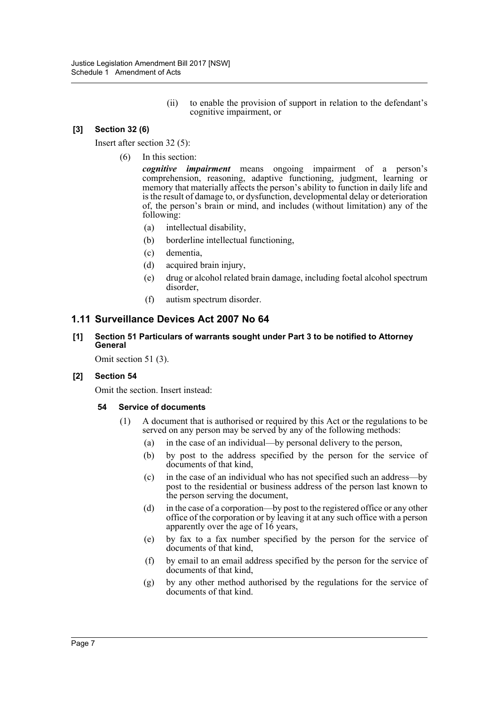(ii) to enable the provision of support in relation to the defendant's cognitive impairment, or

## **[3] Section 32 (6)**

Insert after section 32 (5):

(6) In this section:

*cognitive impairment* means ongoing impairment of a person's comprehension, reasoning, adaptive functioning, judgment, learning or memory that materially affects the person's ability to function in daily life and is the result of damage to, or dysfunction, developmental delay or deterioration of, the person's brain or mind, and includes (without limitation) any of the following:

- (a) intellectual disability,
- (b) borderline intellectual functioning,
- (c) dementia,
- (d) acquired brain injury,
- (e) drug or alcohol related brain damage, including foetal alcohol spectrum disorder,
- (f) autism spectrum disorder.

## **1.11 Surveillance Devices Act 2007 No 64**

**[1] Section 51 Particulars of warrants sought under Part 3 to be notified to Attorney General**

Omit section 51 (3).

#### **[2] Section 54**

Omit the section. Insert instead:

#### **54 Service of documents**

- (1) A document that is authorised or required by this Act or the regulations to be served on any person may be served by any of the following methods:
	- (a) in the case of an individual—by personal delivery to the person,
	- (b) by post to the address specified by the person for the service of documents of that kind,
	- (c) in the case of an individual who has not specified such an address—by post to the residential or business address of the person last known to the person serving the document,
	- (d) in the case of a corporation—by post to the registered office or any other office of the corporation or by leaving it at any such office with a person apparently over the age of 16 years,
	- (e) by fax to a fax number specified by the person for the service of documents of that kind,
	- (f) by email to an email address specified by the person for the service of documents of that kind,
	- (g) by any other method authorised by the regulations for the service of documents of that kind.